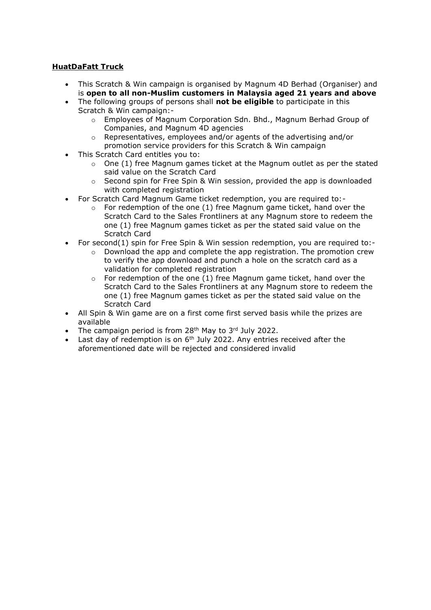## **HuatDaFatt Truck**

- This Scratch & Win campaign is organised by Magnum 4D Berhad (Organiser) and is **open to all non-Muslim customers in Malaysia aged 21 years and above**
- The following groups of persons shall **not be eligible** to participate in this Scratch & Win campaign:
	- o Employees of Magnum Corporation Sdn. Bhd., Magnum Berhad Group of Companies, and Magnum 4D agencies
	- o Representatives, employees and/or agents of the advertising and/or promotion service providers for this Scratch & Win campaign
- This Scratch Card entitles you to:
	- $\circ$  One (1) free Magnum games ticket at the Magnum outlet as per the stated said value on the Scratch Card
	- $\circ$  Second spin for Free Spin & Win session, provided the app is downloaded with completed registration
- For Scratch Card Magnum Game ticket redemption, you are required to:-
	- $\circ$  For redemption of the one (1) free Magnum game ticket, hand over the Scratch Card to the Sales Frontliners at any Magnum store to redeem the one (1) free Magnum games ticket as per the stated said value on the Scratch Card
- For second(1) spin for Free Spin & Win session redemption, you are required to:-
	- $\circ$  Download the app and complete the app registration. The promotion crew to verify the app download and punch a hole on the scratch card as a validation for completed registration
	- For redemption of the one (1) free Magnum game ticket, hand over the Scratch Card to the Sales Frontliners at any Magnum store to redeem the one (1) free Magnum games ticket as per the stated said value on the Scratch Card
- All Spin & Win game are on a first come first served basis while the prizes are available
- The campaign period is from  $28<sup>th</sup>$  May to  $3<sup>rd</sup>$  July 2022.
- Last day of redemption is on  $6<sup>th</sup>$  July 2022. Any entries received after the aforementioned date will be rejected and considered invalid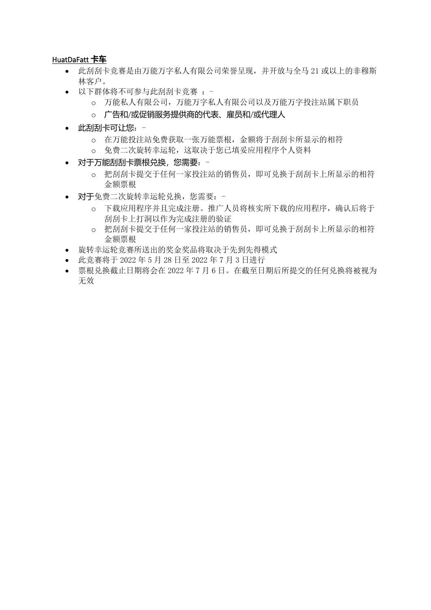## HuatDaFatt **卡车**

- 此刮刮卡竞赛是由万能万字私人有限公司荣誉呈现,并开放与全马 21 或以上的非穆斯 林客户。
- 以下群体将不可参与此刮刮卡竞赛:
	- o 万能私人有限公司,万能万字私人有限公司以及万能万字投注站属下职员
	- o 广告和/或促销服务提供商的代表、雇员和/或代理人
- 此刮刮卡可让您:
	- o 在万能投注站免费获取一张万能票根,金额将于刮刮卡所显示的相符
	- o 免费二次旋转幸运轮,这取决于您已填妥应用程序个人资料
- 对于万能刮刮卡票根兑换,您需要:
	- o 把刮刮卡提交于任何一家投注站的销售员,即可兑换于刮刮卡上所显示的相符 金额票根
- 对于免费二次旋转幸运轮兑换,您需要:
	- o 下载应用程序并且完成注册。推广人员将核实所下载的应用程序,确认后将于 刮刮卡上打洞以作为完成注册的验证
	- o 把刮刮卡提交于任何一家投注站的销售员,即可兑换于刮刮卡上所显示的相符 金额票根
- 旋转幸运轮竞赛所送出的奖金奖品将取决于先到先得模式
- 此竞赛将于 2022 年 5 月 28 日至 2022 年 7 月 3 日进行
- 票根兑换截止日期将会在 2022 年 7 月 6 日。在截至日期后所提交的任何兑换将被视为 无效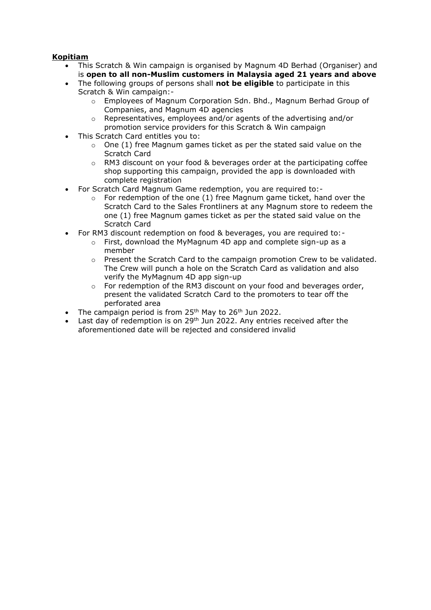## **Kopitiam**

- This Scratch & Win campaign is organised by Magnum 4D Berhad (Organiser) and is **open to all non-Muslim customers in Malaysia aged 21 years and above**
- The following groups of persons shall **not be eligible** to participate in this Scratch & Win campaign:
	- o Employees of Magnum Corporation Sdn. Bhd., Magnum Berhad Group of Companies, and Magnum 4D agencies
	- o Representatives, employees and/or agents of the advertising and/or promotion service providers for this Scratch & Win campaign
- This Scratch Card entitles you to:
	- o One (1) free Magnum games ticket as per the stated said value on the Scratch Card
	- $\circ$  RM3 discount on your food & beverages order at the participating coffee shop supporting this campaign, provided the app is downloaded with complete registration
- For Scratch Card Magnum Game redemption, you are required to:-
	- $\circ$  For redemption of the one (1) free Magnum game ticket, hand over the Scratch Card to the Sales Frontliners at any Magnum store to redeem the one (1) free Magnum games ticket as per the stated said value on the Scratch Card
- For RM3 discount redemption on food & beverages, you are required to:
	- o First, download the MyMagnum 4D app and complete sign-up as a member
	- $\circ$  Present the Scratch Card to the campaign promotion Crew to be validated. The Crew will punch a hole on the Scratch Card as validation and also verify the MyMagnum 4D app sign-up
	- o For redemption of the RM3 discount on your food and beverages order, present the validated Scratch Card to the promoters to tear off the perforated area
- The campaign period is from  $25<sup>th</sup>$  May to  $26<sup>th</sup>$  Jun 2022.
- Last day of redemption is on 29<sup>th</sup> Jun 2022. Any entries received after the aforementioned date will be rejected and considered invalid